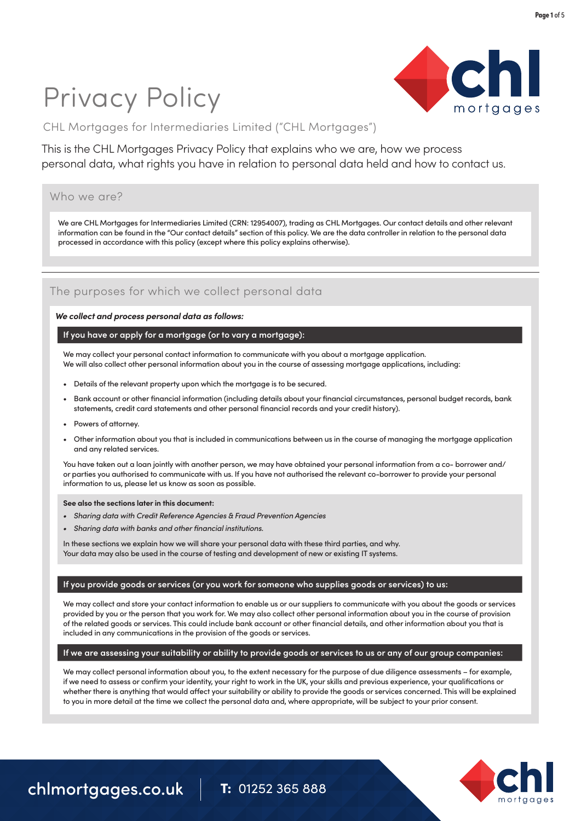# Privacy Policy



CHL Mortgages for Intermediaries Limited ("CHL Mortgages")

This is the CHL Mortgages Privacy Policy that explains who we are, how we process personal data, what rights you have in relation to personal data held and how to contact us.

### Who we are?

We are CHL Mortgages for Intermediaries Limited (CRN: 12954007), trading as CHL Mortgages. Our contact details and other relevant information can be found in the "Our contact details" section of this policy. We are the data controller in relation to the personal data processed in accordance with this policy (except where this policy explains otherwise).

# The purposes for which we collect personal data

### *We collect and process personal data as follows:*

### **If you have or apply for a mortgage (or to vary a mortgage):**

We may collect your personal contact information to communicate with you about a mortgage application. We will also collect other personal information about you in the course of assessing mortgage applications, including:

- Details of the relevant property upon which the mortgage is to be secured.
- Bank account or other financial information (including details about your financial circumstances, personal budget records, bank statements, credit card statements and other personal financial records and your credit history).
- Powers of attorney.
- Other information about you that is included in communications between us in the course of managing the mortgage application and any related services.

You have taken out a loan jointly with another person, we may have obtained your personal information from a co- borrower and/ or parties you authorised to communicate with us. If you have not authorised the relevant co-borrower to provide your personal information to us, please let us know as soon as possible.

**See also the sections later in this document:**

- *• Sharing data with Credit Reference Agencies & Fraud Prevention Agencies*
- *• Sharing data with banks and other financial institutions.*

In these sections we explain how we will share your personal data with these third parties, and why. Your data may also be used in the course of testing and development of new or existing IT systems.

### **If you provide goods or services (or you work for someone who supplies goods or services) to us:**

We may collect and store your contact information to enable us or our suppliers to communicate with you about the goods or services provided by you or the person that you work for. We may also collect other personal information about you in the course of provision of the related goods or services. This could include bank account or other financial details, and other information about you that is included in any communications in the provision of the goods or services.

### **If we are assessing your suitability or ability to provide goods or services to us or any of our group companies:**

We may collect personal information about you, to the extent necessary for the purpose of due diligence assessments – for example, if we need to assess or confirm your identity, your right to work in the UK, your skills and previous experience, your qualifications or whether there is anything that would affect your suitability or ability to provide the goods or services concerned. This will be explained to you in more detail at the time we collect the personal data and, where appropriate, will be subject to your prior consent.

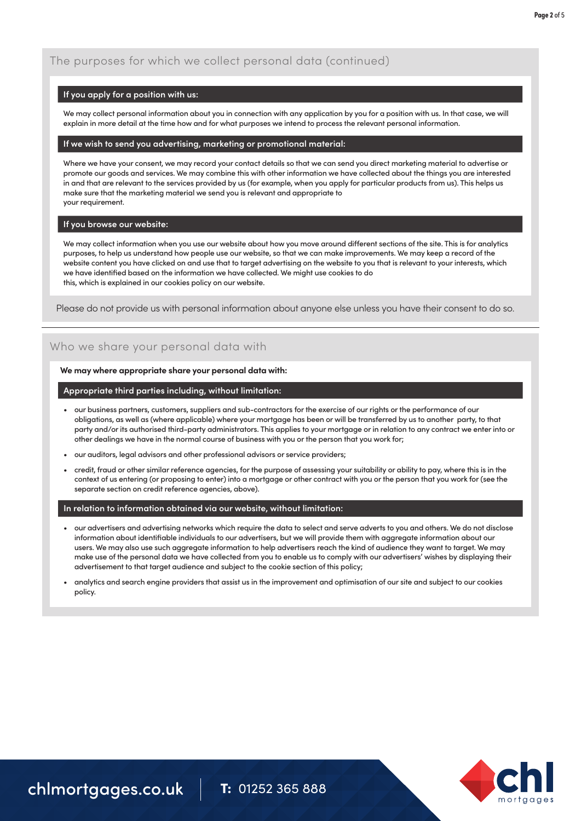# The purposes for which we collect personal data (continued)

### **If you apply for a position with us:**

We may collect personal information about you in connection with any application by you for a position with us. In that case, we will explain in more detail at the time how and for what purposes we intend to process the relevant personal information.

### **If we wish to send you advertising, marketing or promotional material:**

Where we have your consent, we may record your contact details so that we can send you direct marketing material to advertise or promote our goods and services. We may combine this with other information we have collected about the things you are interested in and that are relevant to the services provided by us (for example, when you apply for particular products from us). This helps us make sure that the marketing material we send you is relevant and appropriate to your requirement.

### **If you browse our website:**

We may collect information when you use our website about how you move around different sections of the site. This is for analytics purposes, to help us understand how people use our website, so that we can make improvements. We may keep a record of the website content you have clicked on and use that to target advertising on the website to you that is relevant to your interests, which we have identified based on the information we have collected. We might use cookies to do this, which is explained in our cookies policy on our website.

Please do not provide us with personal information about anyone else unless you have their consent to do so.

# Who we share your personal data with

### **We may where appropriate share your personal data with:**

### **Appropriate third parties including, without limitation:**

- our business partners, customers, suppliers and sub-contractors for the exercise of our rights or the performance of our obligations, as well as (where applicable) where your mortgage has been or will be transferred by us to another party, to that party and/or its authorised third-party administrators. This applies to your mortgage or in relation to any contract we enter into or other dealings we have in the normal course of business with you or the person that you work for;
- our auditors, legal advisors and other professional advisors or service providers;
- credit, fraud or other similar reference agencies, for the purpose of assessing your suitability or ability to pay, where this is in the context of us entering (or proposing to enter) into a mortgage or other contract with you or the person that you work for (see the separate section on credit reference agencies, above).

### **In relation to information obtained via our website, without limitation:**

- our advertisers and advertising networks which require the data to select and serve adverts to you and others. We do not disclose information about identifiable individuals to our advertisers, but we will provide them with aggregate information about our users. We may also use such aggregate information to help advertisers reach the kind of audience they want to target. We may make use of the personal data we have collected from you to enable us to comply with our advertisers' wishes by displaying their advertisement to that target audience and subject to the cookie section of this policy;
- analytics and search engine providers that assist us in the improvement and optimisation of our site and subject to our cookies policy.

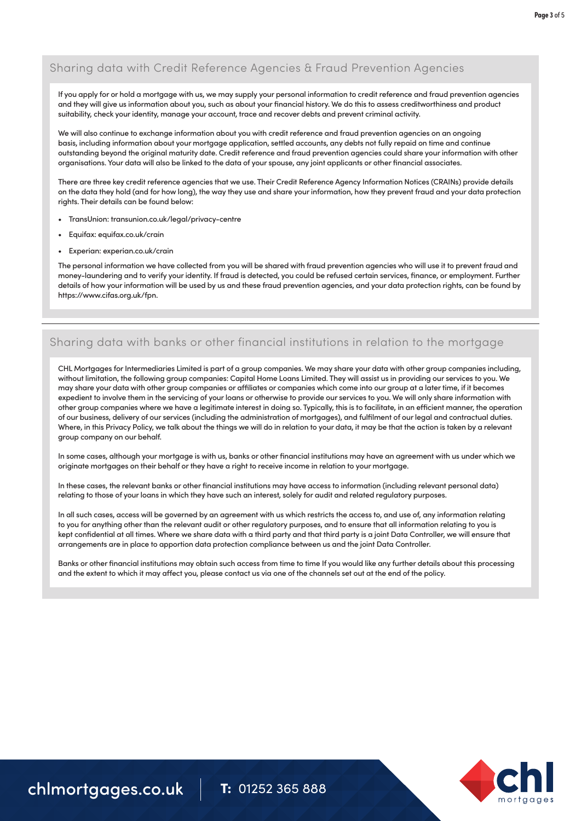# Sharing data with Credit Reference Agencies & Fraud Prevention Agencies

If you apply for or hold a mortgage with us, we may supply your personal information to credit reference and fraud prevention agencies and they will give us information about you, such as about your financial history. We do this to assess creditworthiness and product suitability, check your identity, manage your account, trace and recover debts and prevent criminal activity.

We will also continue to exchange information about you with credit reference and fraud prevention agencies on an ongoing basis, including information about your mortgage application, settled accounts, any debts not fully repaid on time and continue outstanding beyond the original maturity date. Credit reference and fraud prevention agencies could share your information with other organisations. Your data will also be linked to the data of your spouse, any joint applicants or other financial associates.

There are three key credit reference agencies that we use. Their Credit Reference Agency Information Notices (CRAINs) provide details on the data they hold (and for how long), the way they use and share your information, how they prevent fraud and your data protection rights. Their details can be found below:

- TransUnion: [transunion.co.uk/legal/privacy-centre](https://www.transunion.co.uk/legal/privacy-centre)
- Equifax: equifax.co.uk/crain
- Experian: experian.co.uk/crain

The personal information we have collected from you will be shared with fraud prevention agencies who will use it to prevent fraud and money-laundering and to verify your identity. If fraud is detected, you could be refused certain services, finance, or employment. Further details of how your information will be used by us and these fraud prevention agencies, and your data protection rights, can be found by https://www.cifas.org.uk/fpn.

# Sharing data with banks or other financial institutions in relation to the mortgage

CHL Mortgages for Intermediaries Limited is part of a group companies. We may share your data with other group companies including, without limitation, the following group companies: Capital Home Loans Limited. They will assist us in providing our services to you. We may share your data with other group companies or affiliates or companies which come into our group at a later time, if it becomes expedient to involve them in the servicing of your loans or otherwise to provide our services to you. We will only share information with other group companies where we have a legitimate interest in doing so. Typically, this is to facilitate, in an efficient manner, the operation of our business, delivery of our services (including the administration of mortgages), and fulfilment of our legal and contractual duties. Where, in this Privacy Policy, we talk about the things we will do in relation to your data, it may be that the action is taken by a relevant group company on our behalf.

In some cases, although your mortgage is with us, banks or other financial institutions may have an agreement with us under which we originate mortgages on their behalf or they have a right to receive income in relation to your mortgage.

In these cases, the relevant banks or other financial institutions may have access to information (including relevant personal data) relating to those of your loans in which they have such an interest, solely for audit and related regulatory purposes.

In all such cases, access will be governed by an agreement with us which restricts the access to, and use of, any information relating to you for anything other than the relevant audit or other regulatory purposes, and to ensure that all information relating to you is kept confidential at all times. Where we share data with a third party and that third party is a joint Data Controller, we will ensure that arrangements are in place to apportion data protection compliance between us and the joint Data Controller.

Banks or other financial institutions may obtain such access from time to time If you would like any further details about this processing and the extent to which it may affect you, please contact us via one of the channels set out at the end of the policy.

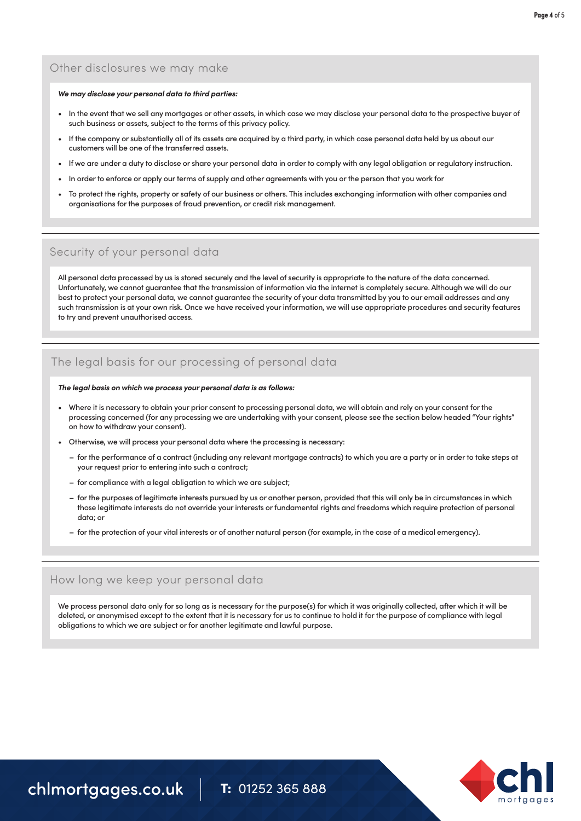# Other disclosures we may make

#### *We may disclose your personal data to third parties:*

- In the event that we sell any mortgages or other assets, in which case we may disclose your personal data to the prospective buyer of such business or assets, subject to the terms of this privacy policy.
- If the company or substantially all of its assets are acquired by a third party, in which case personal data held by us about our customers will be one of the transferred assets.
- If we are under a duty to disclose or share your personal data in order to comply with any legal obligation or regulatory instruction.
- In order to enforce or apply our terms of supply and other agreements with you or the person that you work for
- To protect the rights, property or safety of our business or others. This includes exchanging information with other companies and organisations for the purposes of fraud prevention, or credit risk management.

### Security of your personal data

All personal data processed by us is stored securely and the level of security is appropriate to the nature of the data concerned. Unfortunately, we cannot guarantee that the transmission of information via the internet is completely secure. Although we will do our best to protect your personal data, we cannot guarantee the security of your data transmitted by you to our email addresses and any such transmission is at your own risk. Once we have received your information, we will use appropriate procedures and security features to try and prevent unauthorised access.

# The legal basis for our processing of personal data

#### *The legal basis on which we process your personal data is as follows:*

- processing concerned (for any processing we are undertaking with your consent, please see the section below headed "Your rights" • Where it is necessary to obtain your prior consent to processing personal data, we will obtain and rely on your consent for the on how to withdraw your consent).
	- Otherwise, we will process your personal data where the processing is necessary:
		- **–** for the performance of a contract (including any relevant mortgage contracts) to which you are a party or in order to take steps at your request prior to entering into such a contract;
		- **–** for compliance with a legal obligation to which we are subject;
		- **–** for the purposes of legitimate interests pursued by us or another person, provided that this will only be in circumstances in which those legitimate interests do not override your interests or fundamental rights and freedoms which require protection of personal data; or
		- **–** for the protection of your vital interests or of another natural person (for example, in the case of a medical emergency).

### How long we keep your personal data

We process personal data only for so long as is necessary for the purpose(s) for which it was originally collected, after which it will be deleted, or anonymised except to the extent that it is necessary for us to continue to hold it for the purpose of compliance with legal obligations to which we are subject or for another legitimate and lawful purpose.